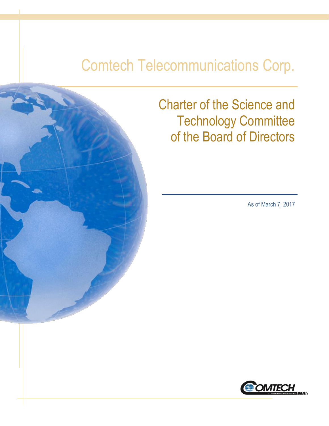# Comtech Telecommunications Corp.



Charter of the Science and Technology Committee of the Board of Directors

As of March 7, 2017

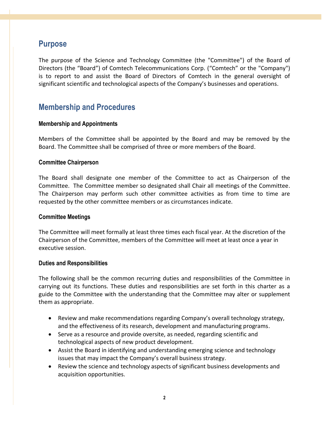## **Purpose**

The purpose of the Science and Technology Committee (the "Committee") of the Board of Directors (the "Board") of Comtech Telecommunications Corp. ("Comtech" or the "Company") is to report to and assist the Board of Directors of Comtech in the general oversight of significant scientific and technological aspects of the Company's businesses and operations.

## **Membership and Procedures**

#### **Membership and Appointments**

Members of the Committee shall be appointed by the Board and may be removed by the Board. The Committee shall be comprised of three or more members of the Board.

#### **Committee Chairperson**

The Board shall designate one member of the Committee to act as Chairperson of the Committee. The Committee member so designated shall Chair all meetings of the Committee. The Chairperson may perform such other committee activities as from time to time are requested by the other committee members or as circumstances indicate.

#### **Committee Meetings**

The Committee will meet formally at least three times each fiscal year. At the discretion of the Chairperson of the Committee, members of the Committee will meet at least once a year in executive session.

#### **Duties and Responsibilities**

The following shall be the common recurring duties and responsibilities of the Committee in carrying out its functions. These duties and responsibilities are set forth in this charter as a guide to the Committee with the understanding that the Committee may alter or supplement them as appropriate.

- Review and make recommendations regarding Company's overall technology strategy, and the effectiveness of its research, development and manufacturing programs.
- Serve as a resource and provide oversite, as needed, regarding scientific and technological aspects of new product development.
- Assist the Board in identifying and understanding emerging science and technology issues that may impact the Company's overall business strategy.
- Review the science and technology aspects of significant business developments and acquisition opportunities.